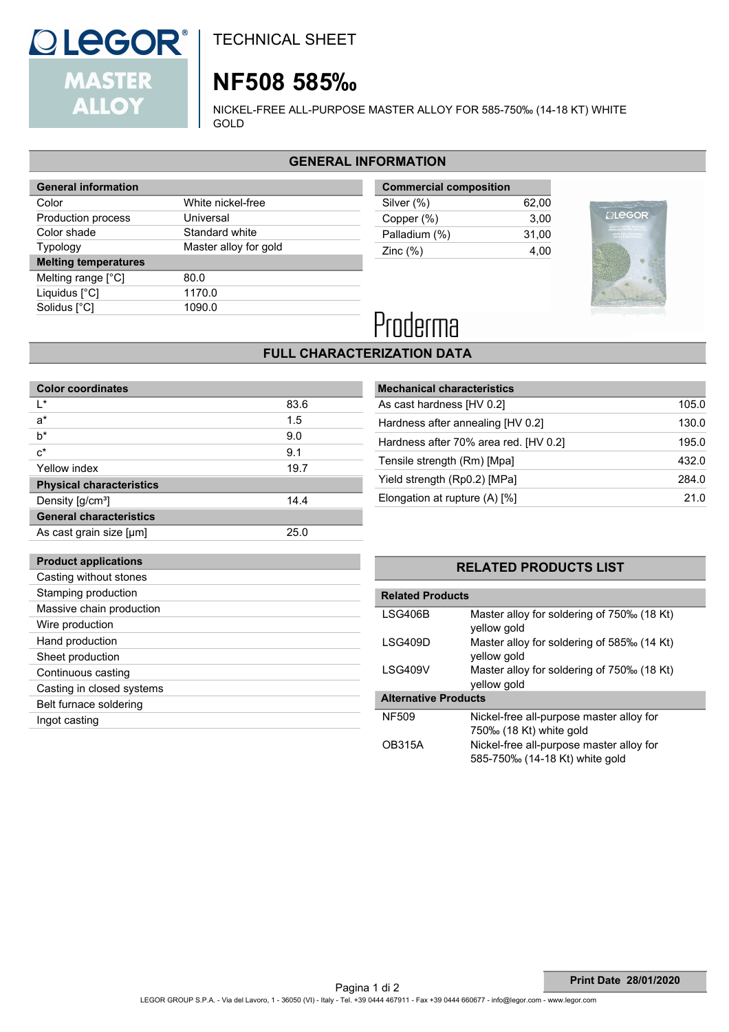

TECHNICAL SHEET

# **NF508 585‰**

NICKEL-FREE ALL-PURPOSE MASTER ALLOY FOR 585-750‰ (14-18 KT) WHITE GOLD

### **GENERAL INFORMATION**

| <b>General information</b>  |                       |  |
|-----------------------------|-----------------------|--|
| Color                       | White nickel-free     |  |
| Production process          | Universal             |  |
| Color shade                 | Standard white        |  |
| <b>Typology</b>             | Master alloy for gold |  |
| <b>Melting temperatures</b> |                       |  |
|                             |                       |  |
| Melting range $[^{\circ}C]$ | 80.0                  |  |
| Liquidus $[^{\circ}C]$      | 1170.0                |  |
| Solidus [°C]                | 1090.0                |  |

| <b>Commercial composition</b> |       |  |  |
|-------------------------------|-------|--|--|
| Silver (%)                    | 62.00 |  |  |
| Copper (%)                    | 3.00  |  |  |
| Palladium (%)                 | 31.00 |  |  |
| Zinc $(\%)$                   | 4.00  |  |  |
|                               |       |  |  |



# Proderma

## **FULL CHARACTERIZATION DATA**

| <b>Color coordinates</b>        |      |
|---------------------------------|------|
| ı∗                              | 83.6 |
| $a^*$                           | 1.5  |
| $b^*$                           | 9.0  |
| $c^*$                           | 9.1  |
| Yellow index                    | 19.7 |
| <b>Physical characteristics</b> |      |
| Density [g/cm <sup>3</sup> ]    | 14.4 |
| <b>General characteristics</b>  |      |
| As cast grain size [µm]         | 25.0 |

| <b>Mechanical characteristics</b>     |       |
|---------------------------------------|-------|
| As cast hardness [HV 0.2]             | 105.0 |
| Hardness after annealing [HV 0.2]     | 130.0 |
| Hardness after 70% area red. [HV 0.2] | 195.0 |
| Tensile strength (Rm) [Mpa]           | 432.0 |
| Yield strength (Rp0.2) [MPa]          | 284.0 |
| Elongation at rupture $(A)$ [%]       | 21.0  |

### **Product applications** Casting without stones

| GOUILLY WILLIUUL SLUITES  |
|---------------------------|
| Stamping production       |
| Massive chain production  |
| Wire production           |
| Hand production           |
| Sheet production          |
| Continuous casting        |
| Casting in closed systems |
| Belt furnace soldering    |
| Ingot casting             |
|                           |

### **RELATED PRODUCTS LIST**

| <b>Related Products</b>     |                                                           |  |  |
|-----------------------------|-----------------------------------------------------------|--|--|
| LSG406B                     | Master alloy for soldering of 750‰ (18 Kt)<br>yellow gold |  |  |
| I SG409D                    | Master alloy for soldering of 585‰ (14 Kt)<br>yellow gold |  |  |
| LSG409V                     | Master alloy for soldering of 750‰ (18 Kt)<br>yellow gold |  |  |
| <b>Alternative Products</b> |                                                           |  |  |
| NF509                       | Nickel-free all-purpose master alloy for                  |  |  |
|                             | 750‰ (18 Kt) white gold                                   |  |  |
| <b>OB315A</b>               | Nickel-free all-purpose master alloy for                  |  |  |
|                             | 585-750% (14-18 Kt) white gold                            |  |  |